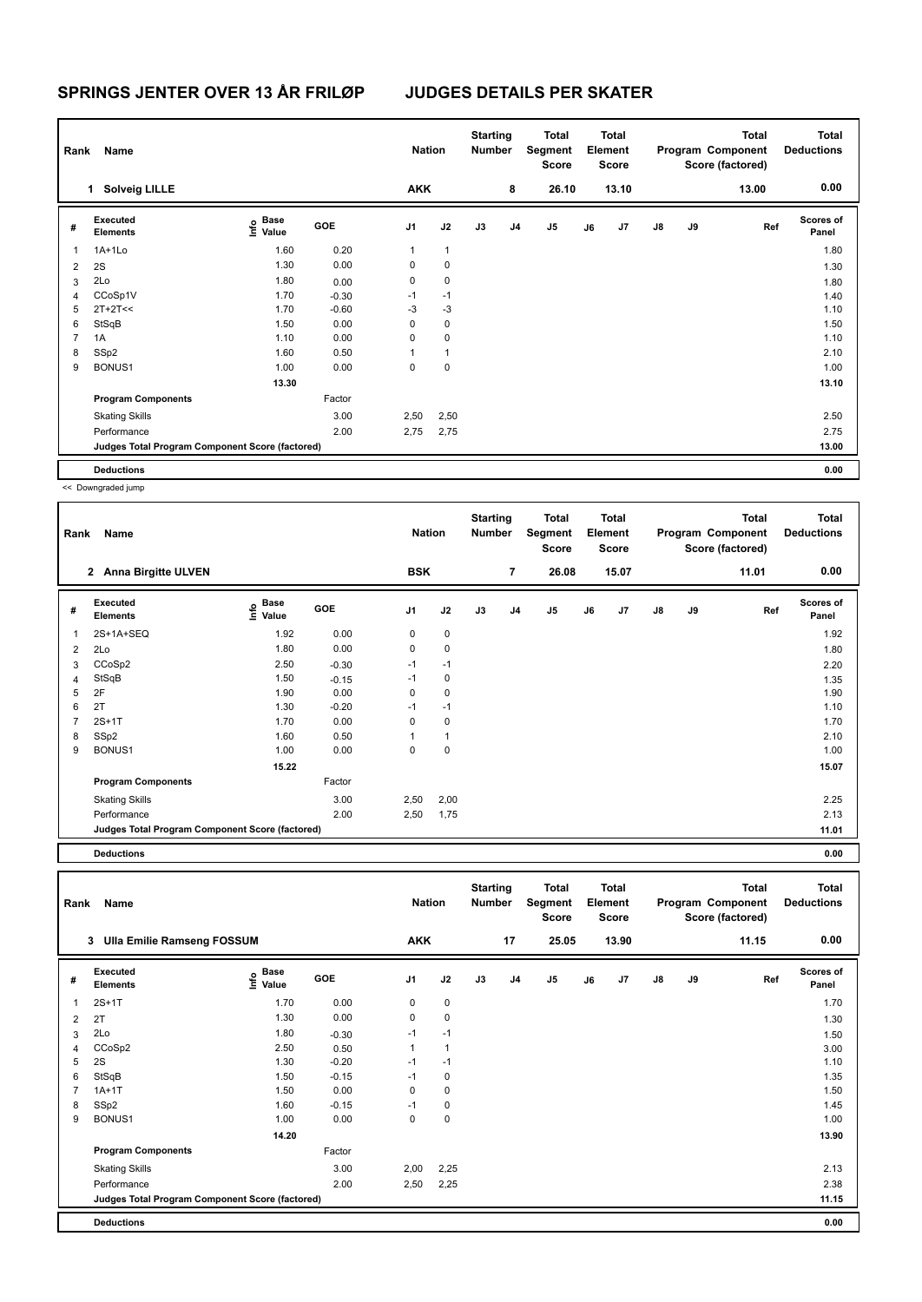| Rank           | Name                                            |                           |         | <b>Nation</b>  |              | <b>Starting</b><br><b>Number</b> |                | Total<br>Segment<br><b>Score</b> |    | <b>Total</b><br>Element<br><b>Score</b> |               |    | <b>Total</b><br>Program Component<br>Score (factored) | <b>Total</b><br><b>Deductions</b> |
|----------------|-------------------------------------------------|---------------------------|---------|----------------|--------------|----------------------------------|----------------|----------------------------------|----|-----------------------------------------|---------------|----|-------------------------------------------------------|-----------------------------------|
|                | <b>Solveig LILLE</b><br>$\mathbf{1}$            |                           |         | <b>AKK</b>     |              |                                  | 8              | 26.10                            |    | 13.10                                   |               |    | 13.00                                                 | 0.00                              |
| #              | Executed<br><b>Elements</b>                     | Base<br>e Base<br>⊆ Value | GOE     | J <sub>1</sub> | J2           | J3                               | J <sub>4</sub> | J5                               | J6 | J <sub>7</sub>                          | $\mathsf{J}8$ | J9 | Ref                                                   | <b>Scores of</b><br>Panel         |
| 1              | $1A+1Lo$                                        | 1.60                      | 0.20    | 1              | $\mathbf{1}$ |                                  |                |                                  |    |                                         |               |    |                                                       | 1.80                              |
| 2              | 2S                                              | 1.30                      | 0.00    | 0              | 0            |                                  |                |                                  |    |                                         |               |    |                                                       | 1.30                              |
| 3              | 2Lo                                             | 1.80                      | 0.00    | 0              | $\mathbf 0$  |                                  |                |                                  |    |                                         |               |    |                                                       | 1.80                              |
| $\overline{4}$ | CCoSp1V                                         | 1.70                      | $-0.30$ | $-1$           | $-1$         |                                  |                |                                  |    |                                         |               |    |                                                       | 1.40                              |
| 5              | $2T+2T<<$                                       | 1.70                      | $-0.60$ | $-3$           | $-3$         |                                  |                |                                  |    |                                         |               |    |                                                       | 1.10                              |
| 6              | StSqB                                           | 1.50                      | 0.00    | 0              | 0            |                                  |                |                                  |    |                                         |               |    |                                                       | 1.50                              |
| $\overline{7}$ | 1A                                              | 1.10                      | 0.00    | 0              | $\mathbf 0$  |                                  |                |                                  |    |                                         |               |    |                                                       | 1.10                              |
| 8              | SSp2                                            | 1.60                      | 0.50    | 1              | $\mathbf{1}$ |                                  |                |                                  |    |                                         |               |    |                                                       | 2.10                              |
| 9              | BONUS1                                          | 1.00                      | 0.00    | 0              | $\mathbf 0$  |                                  |                |                                  |    |                                         |               |    |                                                       | 1.00                              |
|                |                                                 | 13.30                     |         |                |              |                                  |                |                                  |    |                                         |               |    |                                                       | 13.10                             |
|                | <b>Program Components</b>                       |                           | Factor  |                |              |                                  |                |                                  |    |                                         |               |    |                                                       |                                   |
|                | <b>Skating Skills</b>                           |                           | 3.00    | 2,50           | 2,50         |                                  |                |                                  |    |                                         |               |    |                                                       | 2.50                              |
|                | Performance                                     |                           | 2.00    | 2,75           | 2,75         |                                  |                |                                  |    |                                         |               |    |                                                       | 2.75                              |
|                | Judges Total Program Component Score (factored) |                           |         |                |              |                                  |                |                                  |    |                                         |               |    |                                                       | 13.00                             |
|                | <b>Deductions</b>                               |                           |         |                |              |                                  |                |                                  |    |                                         |               |    |                                                       | 0.00                              |

<< Downgraded jump

| Rank | Name                                            |                              |         | <b>Nation</b>  |             | <b>Starting</b><br><b>Number</b> |                | <b>Total</b><br>Segment<br>Score |    | <b>Total</b><br>Element<br><b>Score</b> |               |    | <b>Total</b><br>Program Component<br>Score (factored) | <b>Total</b><br><b>Deductions</b> |
|------|-------------------------------------------------|------------------------------|---------|----------------|-------------|----------------------------------|----------------|----------------------------------|----|-----------------------------------------|---------------|----|-------------------------------------------------------|-----------------------------------|
|      | 2 Anna Birgitte ULVEN                           |                              |         | <b>BSK</b>     |             |                                  | $\overline{7}$ | 26.08                            |    | 15.07                                   |               |    | 11.01                                                 | 0.00                              |
| #    | Executed<br><b>Elements</b>                     | <b>Base</b><br>lnfo<br>Value | GOE     | J <sub>1</sub> | J2          | J3                               | J <sub>4</sub> | J5                               | J6 | J7                                      | $\mathsf{J}8$ | J9 | Ref                                                   | <b>Scores of</b><br>Panel         |
| 1    | 2S+1A+SEQ                                       | 1.92                         | 0.00    | 0              | 0           |                                  |                |                                  |    |                                         |               |    |                                                       | 1.92                              |
| 2    | 2Lo                                             | 1.80                         | 0.00    | 0              | 0           |                                  |                |                                  |    |                                         |               |    |                                                       | 1.80                              |
| 3    | CCoSp2                                          | 2.50                         | $-0.30$ | $-1$           | $-1$        |                                  |                |                                  |    |                                         |               |    |                                                       | 2.20                              |
| 4    | StSqB                                           | 1.50                         | $-0.15$ | $-1$           | $\mathbf 0$ |                                  |                |                                  |    |                                         |               |    |                                                       | 1.35                              |
| 5    | 2F                                              | 1.90                         | 0.00    | 0              | 0           |                                  |                |                                  |    |                                         |               |    |                                                       | 1.90                              |
| 6    | 2T                                              | 1.30                         | $-0.20$ | $-1$           | $-1$        |                                  |                |                                  |    |                                         |               |    |                                                       | 1.10                              |
| 7    | $2S+1T$                                         | 1.70                         | 0.00    | 0              | $\mathbf 0$ |                                  |                |                                  |    |                                         |               |    |                                                       | 1.70                              |
| 8    | SSp2                                            | 1.60                         | 0.50    |                | 1           |                                  |                |                                  |    |                                         |               |    |                                                       | 2.10                              |
| 9    | BONUS1                                          | 1.00                         | 0.00    | 0              | 0           |                                  |                |                                  |    |                                         |               |    |                                                       | 1.00                              |
|      |                                                 | 15.22                        |         |                |             |                                  |                |                                  |    |                                         |               |    |                                                       | 15.07                             |
|      | <b>Program Components</b>                       |                              | Factor  |                |             |                                  |                |                                  |    |                                         |               |    |                                                       |                                   |
|      | <b>Skating Skills</b>                           |                              | 3.00    | 2,50           | 2,00        |                                  |                |                                  |    |                                         |               |    |                                                       | 2.25                              |
|      | Performance                                     |                              | 2.00    | 2,50           | 1,75        |                                  |                |                                  |    |                                         |               |    |                                                       | 2.13                              |
|      | Judges Total Program Component Score (factored) |                              |         |                |             |                                  |                |                                  |    |                                         |               |    |                                                       | 11.01                             |
|      |                                                 |                              |         |                |             |                                  |                |                                  |    |                                         |               |    |                                                       |                                   |

**Deductions 0.00**

**Total Deductions Total Program Component Score (factored) Total Element Score Total Segment Score Starting Rank Name Nation Number # Executed Elements Base Value GOE J1 J2 J3 J4 J5 J6 J7 J8 J9 Scores of Panel** 1 2S+1T 1.70 0.00 0 0 **Ref**  2S+1T 1.70 **Info 3 Ulla Emilie Ramseng FOSSUM AKK 17 25.05 13.90 11.15 0.00** 2 2T 1.30 0.00 0 0 0 1.30 1.30 1.30  $3$  2Lo  $1.50$   $1.80$   $0.30$   $1$   $1$ 4 CCoSp2 2.50 0.50 1 1 3.00  $5$  2S 1.10  $1.30$   $-0.20$   $-1$   $-1$ 6 StSqB 1.50 -0.15 -1 0 1.35 7 1A+1T 1.50 0.00 0 0 1.50 8 SSp2 1.60 -0.15 -1 0 1.45 9 BONUS1 1.00 0.00 0 0 1.00  **14.20 13.90 13.90 Program Components**  Skating Skills 2,00 Factor 3.00 2.13 Performance 2.00 2,50 2,25 2.38 **Deductions 0.00 Judges Total Program Component Score (factored) 11.15**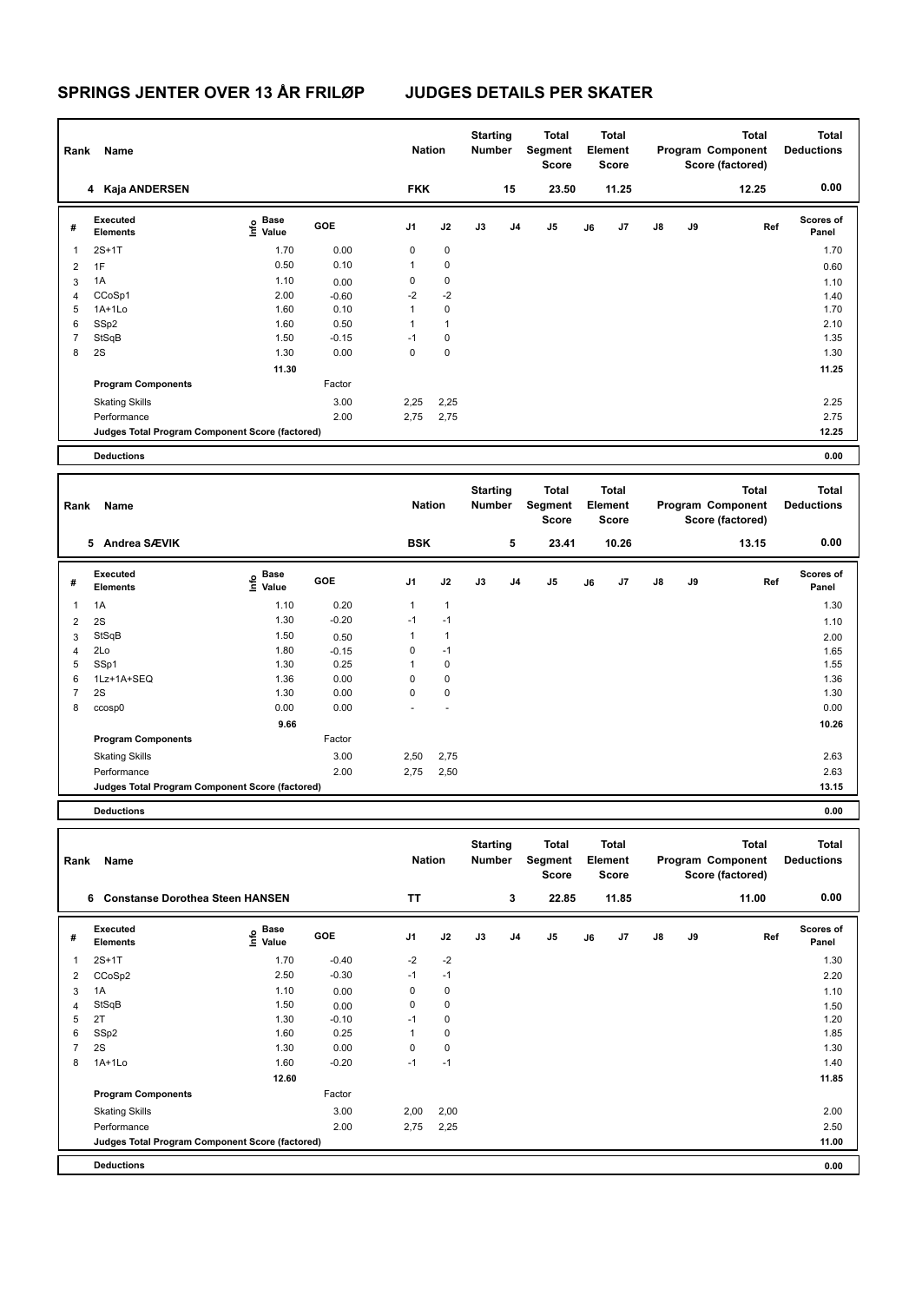| Rank           | Name                                            |                                   |                 | <b>Nation</b>        |                        | <b>Starting</b><br>Number        |             | Total<br>Segment<br>Score        |    | <b>Total</b><br>Element<br>Score        |    |    | <b>Total</b><br>Program Component<br>Score (factored) | <b>Total</b><br><b>Deductions</b> |
|----------------|-------------------------------------------------|-----------------------------------|-----------------|----------------------|------------------------|----------------------------------|-------------|----------------------------------|----|-----------------------------------------|----|----|-------------------------------------------------------|-----------------------------------|
|                | 4 Kaja ANDERSEN                                 |                                   |                 | <b>FKK</b>           |                        |                                  | 15          | 23.50                            |    | 11.25                                   |    |    | 12.25                                                 | 0.00                              |
| #              | Executed<br><b>Elements</b>                     | e Base<br>⊆ Value                 | GOE             | J1                   | J2                     | J3                               | J4          | J5                               | J6 | J7                                      | J8 | J9 | Ref                                                   | <b>Scores of</b><br>Panel         |
| 1              | $2S+1T$                                         | 1.70                              | 0.00            | $\mathbf 0$          | 0                      |                                  |             |                                  |    |                                         |    |    |                                                       | 1.70                              |
| 2              | 1F                                              | 0.50                              | 0.10            | 1                    | $\pmb{0}$              |                                  |             |                                  |    |                                         |    |    |                                                       | 0.60                              |
| 3              | 1A                                              | 1.10                              | 0.00            | 0                    | $\pmb{0}$              |                                  |             |                                  |    |                                         |    |    |                                                       | 1.10                              |
| $\overline{4}$ | CCoSp1                                          | 2.00                              | $-0.60$         | -2                   | $-2$                   |                                  |             |                                  |    |                                         |    |    |                                                       | 1.40                              |
| 5              | $1A+1Lo$                                        | 1.60                              | 0.10            | 1                    | $\pmb{0}$              |                                  |             |                                  |    |                                         |    |    |                                                       | 1.70                              |
| 6              | SSp2                                            | 1.60                              | 0.50            | $\mathbf{1}$         | $\mathbf{1}$           |                                  |             |                                  |    |                                         |    |    |                                                       | 2.10                              |
| $\overline{7}$ | StSqB                                           | 1.50                              | $-0.15$         | $-1$                 | $\pmb{0}$              |                                  |             |                                  |    |                                         |    |    |                                                       | 1.35                              |
| 8              | 2S                                              | 1.30                              | 0.00            | $\mathbf 0$          | 0                      |                                  |             |                                  |    |                                         |    |    |                                                       | 1.30                              |
|                |                                                 | 11.30                             |                 |                      |                        |                                  |             |                                  |    |                                         |    |    |                                                       | 11.25                             |
|                | <b>Program Components</b>                       |                                   | Factor          |                      |                        |                                  |             |                                  |    |                                         |    |    |                                                       |                                   |
|                | <b>Skating Skills</b>                           |                                   | 3.00            | 2,25                 | 2,25                   |                                  |             |                                  |    |                                         |    |    |                                                       | 2.25                              |
|                | Performance                                     |                                   | 2.00            | 2,75                 | 2,75                   |                                  |             |                                  |    |                                         |    |    |                                                       | 2.75                              |
|                | Judges Total Program Component Score (factored) |                                   |                 |                      |                        |                                  |             |                                  |    |                                         |    |    |                                                       | 12.25                             |
|                | <b>Deductions</b>                               |                                   |                 |                      |                        |                                  |             |                                  |    |                                         |    |    |                                                       | 0.00                              |
| Rank           | Name                                            |                                   |                 | <b>Nation</b>        |                        | <b>Starting</b><br>Number        |             | Total<br>Segment<br><b>Score</b> |    | <b>Total</b><br>Element<br><b>Score</b> |    |    | <b>Total</b><br>Program Component<br>Score (factored) | <b>Total</b><br><b>Deductions</b> |
|                | 5 Andrea SÆVIK                                  |                                   |                 | <b>BSK</b>           |                        |                                  | 5           | 23.41                            |    | 10.26                                   |    |    | 13.15                                                 | 0.00                              |
| #              | Executed<br><b>Elements</b>                     | e Base<br>⊆ Value                 | GOE             | J1                   | J2                     | J3                               | J4          | J5                               | J6 | J7                                      | J8 | J9 | Ref                                                   | Scores of<br>Panel                |
| $\mathbf{1}$   | 1A                                              | 1.10                              | 0.20            | 1                    | $\mathbf{1}$           |                                  |             |                                  |    |                                         |    |    |                                                       | 1.30                              |
|                |                                                 | 1.30                              | $-0.20$         | $-1$                 | $-1$                   |                                  |             |                                  |    |                                         |    |    |                                                       |                                   |
| 2              | 2S<br>StSqB                                     | 1.50                              |                 | 1                    | $\mathbf{1}$           |                                  |             |                                  |    |                                         |    |    |                                                       | 1.10                              |
| 3<br>4         | 2Lo                                             | 1.80                              | 0.50<br>$-0.15$ | 0                    | $-1$                   |                                  |             |                                  |    |                                         |    |    |                                                       | 2.00<br>1.65                      |
| 5              | SSp1                                            | 1.30                              | 0.25            | $\mathbf{1}$         | $\pmb{0}$              |                                  |             |                                  |    |                                         |    |    |                                                       | 1.55                              |
| 6              | 1Lz+1A+SEQ                                      | 1.36                              | 0.00            | $\mathbf 0$          | 0                      |                                  |             |                                  |    |                                         |    |    |                                                       | 1.36                              |
| 7              | 2S                                              | 1.30                              | 0.00            | 0                    | $\pmb{0}$              |                                  |             |                                  |    |                                         |    |    |                                                       | 1.30                              |
| 8              | ccosp0                                          | 0.00                              | 0.00            |                      |                        |                                  |             |                                  |    |                                         |    |    |                                                       | 0.00                              |
|                |                                                 | 9.66                              |                 |                      |                        |                                  |             |                                  |    |                                         |    |    |                                                       | 10.26                             |
|                | <b>Program Components</b>                       |                                   | Factor          |                      |                        |                                  |             |                                  |    |                                         |    |    |                                                       |                                   |
|                | <b>Skating Skills</b>                           |                                   | 3.00            | 2,50                 | 2,75                   |                                  |             |                                  |    |                                         |    |    |                                                       | 2.63                              |
|                | Performance                                     |                                   | 2.00            | 2,75                 | 2,50                   |                                  |             |                                  |    |                                         |    |    |                                                       | 2.63                              |
|                | Judges Total Program Component Score (factored) |                                   |                 |                      |                        |                                  |             |                                  |    |                                         |    |    |                                                       | 13.15                             |
|                | <b>Deductions</b>                               |                                   |                 |                      |                        |                                  |             |                                  |    |                                         |    |    |                                                       | 0.00                              |
|                |                                                 |                                   |                 |                      |                        |                                  |             |                                  |    |                                         |    |    |                                                       |                                   |
| Rank           | Name                                            |                                   |                 | <b>Nation</b>        |                        | <b>Starting</b><br><b>Number</b> |             | <b>Total</b><br>Segment<br>Score |    | Total<br>Element<br><b>Score</b>        |    |    | <b>Total</b><br>Program Component<br>Score (factored) | <b>Total</b><br><b>Deductions</b> |
|                | 6 Constanse Dorothea Steen HANSEN               |                                   |                 | TT                   |                        |                                  | $\mathbf 3$ | 22.85                            |    | 11.85                                   |    |    | 11.00                                                 | 0.00                              |
| #              | Executed                                        | $\overset{\circ}{\text{E}}$ Value | GOE             | J1                   | J2                     | J3                               | J4          | $\mathsf{J}5$                    | J6 | J7                                      | J8 | J9 | Ref                                                   | Scores of                         |
|                | <b>Elements</b>                                 |                                   |                 |                      |                        |                                  |             |                                  |    |                                         |    |    |                                                       | Panel                             |
| $\mathbf{1}$   | $2S+1T$                                         | 1.70                              | $-0.40$         | $-2$                 | $-2$                   |                                  |             |                                  |    |                                         |    |    |                                                       | 1.30                              |
| $\overline{2}$ | CCoSp2                                          | 2.50                              | $-0.30$         | $-1$                 | $-1$                   |                                  |             |                                  |    |                                         |    |    |                                                       | 2.20                              |
| 3              | 1A                                              | 1.10                              | 0.00            | 0                    | $\pmb{0}$              |                                  |             |                                  |    |                                         |    |    |                                                       | 1.10                              |
| 4              | StSqB                                           | 1.50                              | 0.00            | 0                    | 0                      |                                  |             |                                  |    |                                         |    |    |                                                       | 1.50                              |
| 5<br>6         | 2T                                              | 1.30<br>1.60                      | $-0.10$<br>0.25 | $-1$<br>$\mathbf{1}$ | $\pmb{0}$<br>$\pmb{0}$ |                                  |             |                                  |    |                                         |    |    |                                                       | 1.20<br>1.85                      |
| 7              | SSp2<br>2S                                      | 1.30                              | 0.00            | $\mathbf 0$          | $\pmb{0}$              |                                  |             |                                  |    |                                         |    |    |                                                       | 1.30                              |
| 8              | 1A+1Lo                                          | 1.60                              | $-0.20$         | $-1$                 | $-1$                   |                                  |             |                                  |    |                                         |    |    |                                                       | 1.40                              |
|                |                                                 | 12.60                             |                 |                      |                        |                                  |             |                                  |    |                                         |    |    |                                                       | 11.85                             |
|                | <b>Program Components</b>                       |                                   | Factor          |                      |                        |                                  |             |                                  |    |                                         |    |    |                                                       |                                   |
|                | <b>Skating Skills</b>                           |                                   | 3.00            | 2,00                 | 2,00                   |                                  |             |                                  |    |                                         |    |    |                                                       | 2.00                              |
|                | Performance                                     |                                   | 2.00            | 2,75                 | 2,25                   |                                  |             |                                  |    |                                         |    |    |                                                       | 2.50                              |
|                | Judges Total Program Component Score (factored) |                                   |                 |                      |                        |                                  |             |                                  |    |                                         |    |    |                                                       | 11.00                             |
|                | <b>Deductions</b>                               |                                   |                 |                      |                        |                                  |             |                                  |    |                                         |    |    |                                                       | 0.00                              |
|                |                                                 |                                   |                 |                      |                        |                                  |             |                                  |    |                                         |    |    |                                                       |                                   |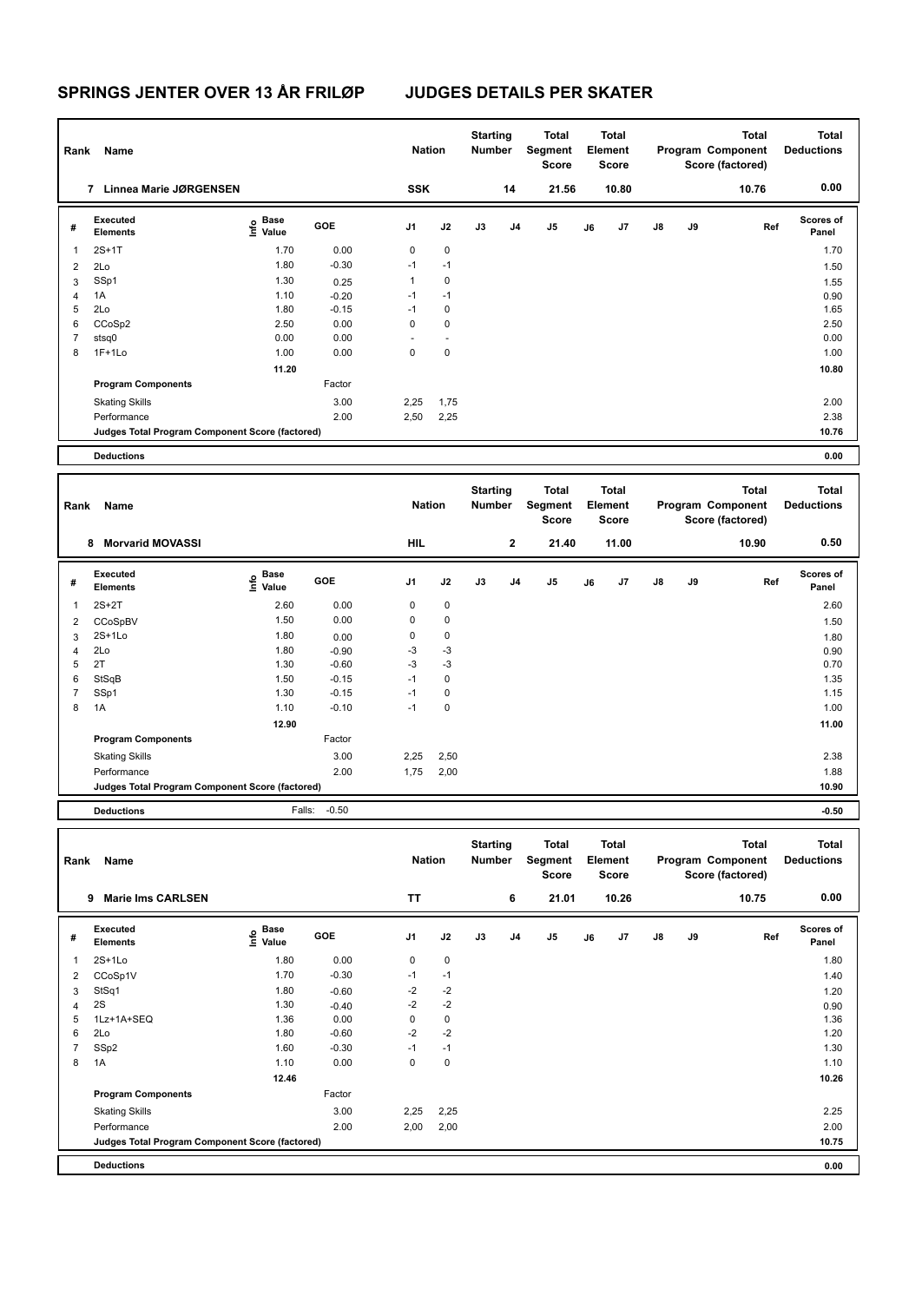| Rank           | Name                                            |                                         |         | <b>Nation</b> |             | <b>Starting</b><br>Number |    | <b>Total</b><br>Segment<br>Score        |    | <b>Total</b><br><b>Element</b><br><b>Score</b> |    |    | <b>Total</b><br>Program Component<br>Score (factored) | <b>Total</b><br><b>Deductions</b> |
|----------------|-------------------------------------------------|-----------------------------------------|---------|---------------|-------------|---------------------------|----|-----------------------------------------|----|------------------------------------------------|----|----|-------------------------------------------------------|-----------------------------------|
|                | 7 Linnea Marie JØRGENSEN                        |                                         |         | SSK           |             |                           | 14 | 21.56                                   |    | 10.80                                          |    |    | 10.76                                                 | 0.00                              |
| #              | <b>Executed</b><br><b>Elements</b>              | $\mathsf{E}$ Base<br>$\mathsf{E}$ Value | GOE     | J1            | J2          | J3                        | J4 | J5                                      | J6 | J7                                             | J8 | J9 | Ref                                                   | Scores of<br>Panel                |
| 1              | $2S+1T$                                         | 1.70                                    | 0.00    | $\pmb{0}$     | $\mathbf 0$ |                           |    |                                         |    |                                                |    |    |                                                       | 1.70                              |
| 2              | 2Lo                                             | 1.80                                    | $-0.30$ | $-1$          | $-1$        |                           |    |                                         |    |                                                |    |    |                                                       | 1.50                              |
| 3              | SSp1                                            | 1.30                                    | 0.25    | $\mathbf{1}$  | 0           |                           |    |                                         |    |                                                |    |    |                                                       | 1.55                              |
| 4              | 1A                                              | 1.10                                    | $-0.20$ | $-1$          | $-1$        |                           |    |                                         |    |                                                |    |    |                                                       | 0.90                              |
| 5              | 2Lo                                             | 1.80                                    | $-0.15$ | $-1$          | $\pmb{0}$   |                           |    |                                         |    |                                                |    |    |                                                       | 1.65                              |
| 6              | CCoSp2                                          | 2.50                                    | 0.00    | $\mathbf 0$   | $\mathbf 0$ |                           |    |                                         |    |                                                |    |    |                                                       | 2.50                              |
| 7              | stsq0                                           | 0.00                                    | 0.00    |               |             |                           |    |                                         |    |                                                |    |    |                                                       | 0.00                              |
| 8              | $1F+1Lo$                                        | 1.00                                    | 0.00    | $\mathbf 0$   | $\pmb{0}$   |                           |    |                                         |    |                                                |    |    |                                                       | 1.00                              |
|                |                                                 | 11.20                                   |         |               |             |                           |    |                                         |    |                                                |    |    |                                                       | 10.80                             |
|                | <b>Program Components</b>                       |                                         | Factor  |               |             |                           |    |                                         |    |                                                |    |    |                                                       |                                   |
|                | <b>Skating Skills</b>                           |                                         | 3.00    | 2,25          | 1,75        |                           |    |                                         |    |                                                |    |    |                                                       | 2.00                              |
|                | Performance                                     |                                         | 2.00    | 2,50          | 2,25        |                           |    |                                         |    |                                                |    |    |                                                       | 2.38                              |
|                | Judges Total Program Component Score (factored) |                                         |         |               |             |                           |    |                                         |    |                                                |    |    |                                                       | 10.76                             |
|                | <b>Deductions</b>                               |                                         |         |               |             |                           |    |                                         |    |                                                |    |    |                                                       | 0.00                              |
|                |                                                 |                                         |         |               |             |                           |    |                                         |    |                                                |    |    |                                                       |                                   |
| Rank           | Name                                            |                                         |         | <b>Nation</b> |             | <b>Starting</b><br>Number |    | <b>Total</b><br>Segment<br><b>Score</b> |    | Total<br>Element<br><b>Score</b>               |    |    | <b>Total</b><br>Program Component<br>Score (factored) | <b>Total</b><br><b>Deductions</b> |
|                | 8 Morvarid MOVASSI                              |                                         |         | <b>HIL</b>    |             |                           | 2  | 21.40                                   |    | 11.00                                          |    |    | 10.90                                                 | 0.50                              |
| #              | <b>Executed</b><br><b>Elements</b>              | $\mathbf{e}$ Base<br>$\mathbf{e}$ Value | GOE     | J1            | J2          | J3                        | J4 | J5                                      | J6 | J7                                             | J8 | J9 | Ref                                                   | Scores of<br>Panel                |
| 1              | $2S+2T$                                         | 2.60                                    | 0.00    | $\pmb{0}$     | $\mathbf 0$ |                           |    |                                         |    |                                                |    |    |                                                       | 2.60                              |
| 2              | CCoSpBV                                         | 1.50                                    | 0.00    | 0             | $\pmb{0}$   |                           |    |                                         |    |                                                |    |    |                                                       | 1.50                              |
| 3              | $2S+1Lo$                                        | 1.80                                    | 0.00    | 0             | $\mathbf 0$ |                           |    |                                         |    |                                                |    |    |                                                       | 1.80                              |
| 4              | 2Lo                                             | 1.80                                    | $-0.90$ | -3            | $-3$        |                           |    |                                         |    |                                                |    |    |                                                       | 0.90                              |
| 5              | 2T                                              | 1.30                                    | $-0.60$ | -3            | $-3$        |                           |    |                                         |    |                                                |    |    |                                                       | 0.70                              |
| 6              | StSqB                                           | 1.50                                    | $-0.15$ | $-1$          | $\mathbf 0$ |                           |    |                                         |    |                                                |    |    |                                                       | 1.35                              |
| $\overline{7}$ | SSp1                                            | 1.30                                    | $-0.15$ | $-1$          | $\pmb{0}$   |                           |    |                                         |    |                                                |    |    |                                                       | 1.15                              |
| 8              | 1A                                              | 1.10                                    | $-0.10$ | $-1$          | 0           |                           |    |                                         |    |                                                |    |    |                                                       | 1.00                              |
|                |                                                 | 12.90                                   |         |               |             |                           |    |                                         |    |                                                |    |    |                                                       | 11.00                             |
|                | <b>Program Components</b>                       |                                         | Factor  |               |             |                           |    |                                         |    |                                                |    |    |                                                       |                                   |
|                | <b>Skating Skills</b>                           |                                         | 3.00    | 2,25          | 2,50        |                           |    |                                         |    |                                                |    |    |                                                       | 2.38                              |
|                | Performance                                     |                                         | 2.00    | 1,75          | 2,00        |                           |    |                                         |    |                                                |    |    |                                                       | 1.88                              |
|                | Judges Total Program Component Score (factored) |                                         |         |               |             |                           |    |                                         |    |                                                |    |    |                                                       | 10.90                             |
|                | <b>Deductions</b>                               | Falls:                                  | $-0.50$ |               |             |                           |    |                                         |    |                                                |    |    |                                                       | $-0.50$                           |
|                |                                                 |                                         |         |               |             |                           |    |                                         |    |                                                |    |    |                                                       |                                   |
| Rank           | Name                                            |                                         |         | <b>Nation</b> |             | <b>Starting</b><br>Number |    | <b>Total</b><br>Segment<br><b>Score</b> |    | <b>Total</b><br>Element<br>Score               |    |    | <b>Total</b><br>Program Component<br>Score (factored) | <b>Total</b><br><b>Deductions</b> |
|                | 9 Marie Ims CARLSEN                             |                                         |         | <b>TT</b>     |             |                           | 6  | 21.01                                   |    | 10.26                                          |    |    | 10.75                                                 | 0.00                              |
| #              | <b>Executed</b><br><b>Elements</b>              | $\overset{\circ}{\text{E}}$ Value       | GOE     | J1            | J2          | J3                        | J4 | J5                                      | J6 | J7                                             | J8 | J9 | Ref                                                   | Scores of<br>Panel                |
| 1              | $2S+1Lo$                                        | 1.80                                    | 0.00    | 0             | 0           |                           |    |                                         |    |                                                |    |    |                                                       | 1.80                              |
| 2              | CCoSp1V                                         | 1.70                                    | $-0.30$ | $-1$          | $-1$        |                           |    |                                         |    |                                                |    |    |                                                       | 1.40                              |
| 3              | StSq1                                           | 1.80                                    | $-0.60$ | $-2$          | $-2$        |                           |    |                                         |    |                                                |    |    |                                                       | 1.20                              |
| $\overline{4}$ | 2S                                              | 1.30                                    | $-0.40$ | $-2$          | $-2$        |                           |    |                                         |    |                                                |    |    |                                                       | 0.90                              |
| 5              | 1Lz+1A+SEQ                                      | 1.36                                    | 0.00    | $\pmb{0}$     | $\mathsf 0$ |                           |    |                                         |    |                                                |    |    |                                                       | 1.36                              |
| 6              | 2Lo                                             | 1.80                                    | $-0.60$ | -2            | $-2$        |                           |    |                                         |    |                                                |    |    |                                                       | 1.20                              |
| $\overline{7}$ | SSp2                                            | 1.60                                    | $-0.30$ | -1            | $-1$        |                           |    |                                         |    |                                                |    |    |                                                       | 1.30                              |
| 8              | 1A                                              | 1.10                                    | 0.00    | $\pmb{0}$     | $\mathsf 0$ |                           |    |                                         |    |                                                |    |    |                                                       | 1.10                              |
|                |                                                 | 12.46                                   |         |               |             |                           |    |                                         |    |                                                |    |    |                                                       | 10.26                             |
|                | <b>Program Components</b>                       |                                         | Factor  |               |             |                           |    |                                         |    |                                                |    |    |                                                       |                                   |
|                | <b>Skating Skills</b>                           |                                         | 3.00    | 2,25          | 2,25        |                           |    |                                         |    |                                                |    |    |                                                       | 2.25                              |
|                | Performance                                     |                                         | 2.00    | 2,00          | 2,00        |                           |    |                                         |    |                                                |    |    |                                                       | 2.00                              |
|                | Judges Total Program Component Score (factored) |                                         |         |               |             |                           |    |                                         |    |                                                |    |    |                                                       | 10.75                             |
|                | <b>Deductions</b>                               |                                         |         |               |             |                           |    |                                         |    |                                                |    |    |                                                       | 0.00                              |
|                |                                                 |                                         |         |               |             |                           |    |                                         |    |                                                |    |    |                                                       |                                   |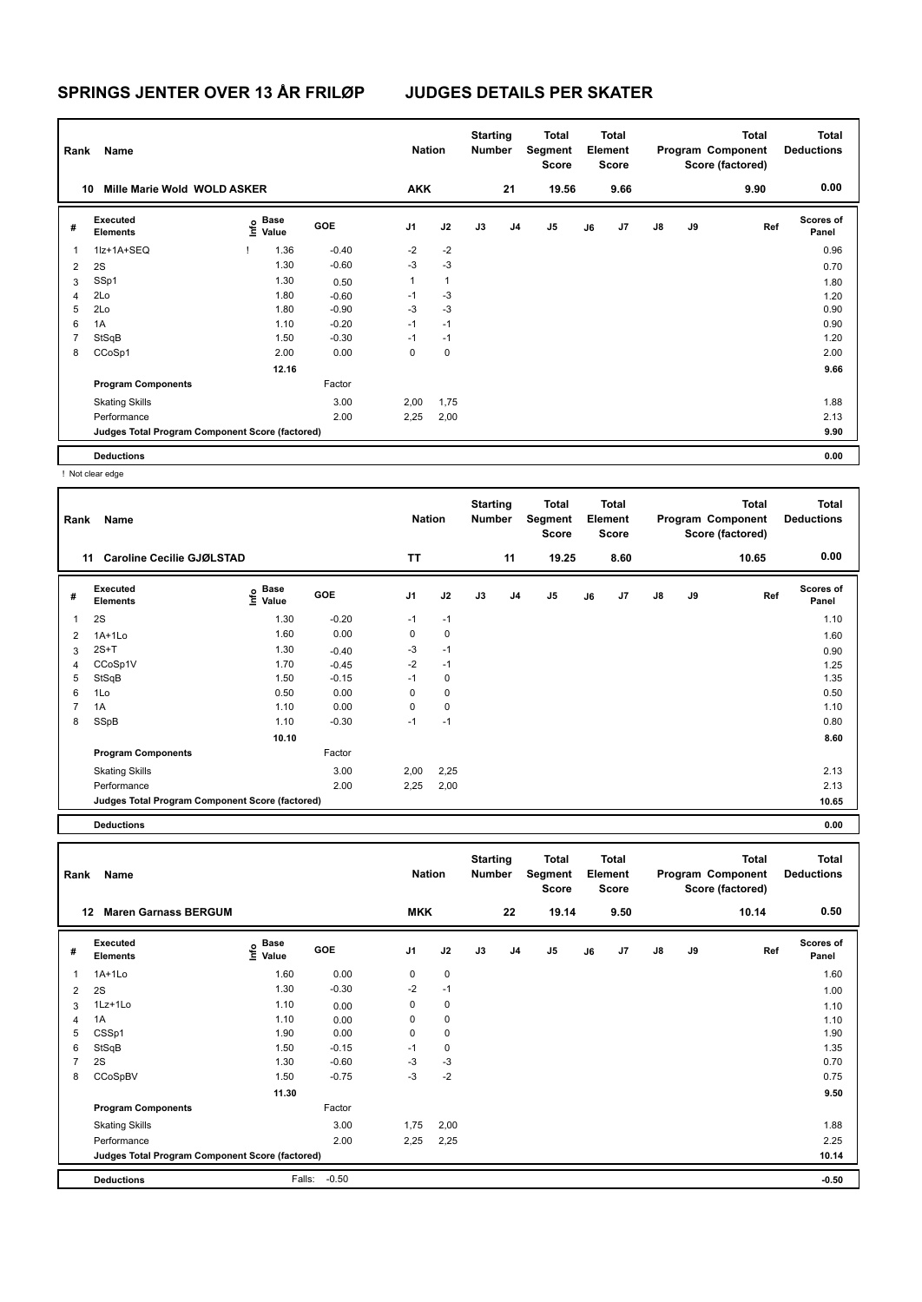| Rank | Name                                            |                                  |            | <b>Nation</b>  |              | <b>Starting</b><br>Number |    | Total<br>Segment<br><b>Score</b> |    | <b>Total</b><br>Element<br><b>Score</b> |    |    | <b>Total</b><br>Program Component<br>Score (factored) | <b>Total</b><br><b>Deductions</b> |
|------|-------------------------------------------------|----------------------------------|------------|----------------|--------------|---------------------------|----|----------------------------------|----|-----------------------------------------|----|----|-------------------------------------------------------|-----------------------------------|
| 10   | Mille Marie Wold WOLD ASKER                     |                                  |            | <b>AKK</b>     |              |                           | 21 | 19.56                            |    | 9.66                                    |    |    | 9.90                                                  | 0.00                              |
| #    | Executed<br><b>Elements</b>                     | <b>Base</b><br>e Base<br>⊆ Value | <b>GOE</b> | J <sub>1</sub> | J2           | J3                        | J4 | J <sub>5</sub>                   | J6 | J <sub>7</sub>                          | J8 | J9 | Ref                                                   | <b>Scores of</b><br>Panel         |
| 1    | 1lz+1A+SEQ                                      | 1.36                             | $-0.40$    | $-2$           | $-2$         |                           |    |                                  |    |                                         |    |    |                                                       | 0.96                              |
| 2    | 2S                                              | 1.30                             | $-0.60$    | $-3$           | $-3$         |                           |    |                                  |    |                                         |    |    |                                                       | 0.70                              |
| 3    | SSp1                                            | 1.30                             | 0.50       | $\mathbf{1}$   | $\mathbf{1}$ |                           |    |                                  |    |                                         |    |    |                                                       | 1.80                              |
| 4    | 2Lo                                             | 1.80                             | $-0.60$    | $-1$           | $-3$         |                           |    |                                  |    |                                         |    |    |                                                       | 1.20                              |
| 5    | 2Lo                                             | 1.80                             | $-0.90$    | $-3$           | $-3$         |                           |    |                                  |    |                                         |    |    |                                                       | 0.90                              |
| 6    | 1A                                              | 1.10                             | $-0.20$    | $-1$           | $-1$         |                           |    |                                  |    |                                         |    |    |                                                       | 0.90                              |
| 7    | StSqB                                           | 1.50                             | $-0.30$    | $-1$           | $-1$         |                           |    |                                  |    |                                         |    |    |                                                       | 1.20                              |
| 8    | CCoSp1                                          | 2.00                             | 0.00       | 0              | 0            |                           |    |                                  |    |                                         |    |    |                                                       | 2.00                              |
|      |                                                 | 12.16                            |            |                |              |                           |    |                                  |    |                                         |    |    |                                                       | 9.66                              |
|      | <b>Program Components</b>                       |                                  | Factor     |                |              |                           |    |                                  |    |                                         |    |    |                                                       |                                   |
|      | <b>Skating Skills</b>                           |                                  | 3.00       | 2,00           | 1,75         |                           |    |                                  |    |                                         |    |    |                                                       | 1.88                              |
|      | Performance                                     |                                  | 2.00       | 2,25           | 2,00         |                           |    |                                  |    |                                         |    |    |                                                       | 2.13                              |
|      | Judges Total Program Component Score (factored) |                                  |            |                |              |                           |    |                                  |    |                                         |    |    |                                                       | 9.90                              |
|      | <b>Deductions</b>                               |                                  |            |                |              |                           |    |                                  |    |                                         |    |    |                                                       | 0.00                              |

! Not clear edge

| Rank           | Name                                            |                       |         | <b>Nation</b>  |             | <b>Starting</b><br><b>Number</b> |    | Total<br>Segment<br><b>Score</b> |    | <b>Total</b><br>Element<br><b>Score</b> |    |    | Total<br>Program Component<br>Score (factored) | <b>Total</b><br><b>Deductions</b> |
|----------------|-------------------------------------------------|-----------------------|---------|----------------|-------------|----------------------------------|----|----------------------------------|----|-----------------------------------------|----|----|------------------------------------------------|-----------------------------------|
|                | <b>Caroline Cecilie GJØLSTAD</b><br>11          |                       |         | TT             |             |                                  | 11 | 19.25                            |    | 8.60                                    |    |    | 10.65                                          | 0.00                              |
| #              | Executed<br><b>Elements</b>                     | Base<br>Info<br>Value | GOE     | J <sub>1</sub> | J2          | J3                               | J4 | J <sub>5</sub>                   | J6 | J7                                      | J8 | J9 | Ref                                            | <b>Scores of</b><br>Panel         |
|                | 2S                                              | 1.30                  | $-0.20$ | $-1$           | $-1$        |                                  |    |                                  |    |                                         |    |    |                                                | 1.10                              |
| 2              | $1A+1Lo$                                        | 1.60                  | 0.00    | 0              | $\mathbf 0$ |                                  |    |                                  |    |                                         |    |    |                                                | 1.60                              |
| 3              | $2S+T$                                          | 1.30                  | $-0.40$ | $-3$           | $-1$        |                                  |    |                                  |    |                                         |    |    |                                                | 0.90                              |
| $\overline{4}$ | CCoSp1V                                         | 1.70                  | $-0.45$ | $-2$           | $-1$        |                                  |    |                                  |    |                                         |    |    |                                                | 1.25                              |
| 5              | StSqB                                           | 1.50                  | $-0.15$ | $-1$           | $\mathbf 0$ |                                  |    |                                  |    |                                         |    |    |                                                | 1.35                              |
| 6              | 1Lo                                             | 0.50                  | 0.00    | 0              | 0           |                                  |    |                                  |    |                                         |    |    |                                                | 0.50                              |
| 7              | 1A                                              | 1.10                  | 0.00    | 0              | $\mathbf 0$ |                                  |    |                                  |    |                                         |    |    |                                                | 1.10                              |
| 8              | SSpB                                            | 1.10                  | $-0.30$ | $-1$           | $-1$        |                                  |    |                                  |    |                                         |    |    |                                                | 0.80                              |
|                |                                                 | 10.10                 |         |                |             |                                  |    |                                  |    |                                         |    |    |                                                | 8.60                              |
|                | <b>Program Components</b>                       |                       | Factor  |                |             |                                  |    |                                  |    |                                         |    |    |                                                |                                   |
|                | <b>Skating Skills</b>                           |                       | 3.00    | 2,00           | 2,25        |                                  |    |                                  |    |                                         |    |    |                                                | 2.13                              |
|                | Performance                                     |                       | 2.00    | 2,25           | 2,00        |                                  |    |                                  |    |                                         |    |    |                                                | 2.13                              |
|                | Judges Total Program Component Score (factored) |                       |         |                |             |                                  |    |                                  |    |                                         |    |    |                                                | 10.65                             |
|                |                                                 |                       |         |                |             |                                  |    |                                  |    |                                         |    |    |                                                |                                   |

**Deductions 0.00**

| Rank           | Name                                            |                                    |            | <b>Nation</b>  |             | <b>Starting</b><br><b>Number</b> |                | <b>Total</b><br>Segment<br><b>Score</b> |    | <b>Total</b><br>Element<br><b>Score</b> |               |    | <b>Total</b><br>Program Component<br>Score (factored) | <b>Total</b><br><b>Deductions</b> |
|----------------|-------------------------------------------------|------------------------------------|------------|----------------|-------------|----------------------------------|----------------|-----------------------------------------|----|-----------------------------------------|---------------|----|-------------------------------------------------------|-----------------------------------|
|                | <b>Maren Garnass BERGUM</b><br>$12 \,$          |                                    |            | <b>MKK</b>     |             |                                  | 22             | 19.14                                   |    | 9.50                                    |               |    | 10.14                                                 | 0.50                              |
| #              | Executed<br><b>Elements</b>                     | <b>Base</b><br>$\frac{6}{5}$ Value | <b>GOE</b> | J <sub>1</sub> | J2          | J3                               | J <sub>4</sub> | J <sub>5</sub>                          | J6 | J7                                      | $\mathsf{J}8$ | J9 | Ref                                                   | <b>Scores of</b><br>Panel         |
| 1              | $1A+1Lo$                                        | 1.60                               | 0.00       | 0              | $\mathbf 0$ |                                  |                |                                         |    |                                         |               |    |                                                       | 1.60                              |
| 2              | 2S                                              | 1.30                               | $-0.30$    | $-2$           | $-1$        |                                  |                |                                         |    |                                         |               |    |                                                       | 1.00                              |
| 3              | 1Lz+1Lo                                         | 1.10                               | 0.00       | 0              | 0           |                                  |                |                                         |    |                                         |               |    |                                                       | 1.10                              |
| 4              | 1A                                              | 1.10                               | 0.00       | 0              | 0           |                                  |                |                                         |    |                                         |               |    |                                                       | 1.10                              |
| 5              | CSSp1                                           | 1.90                               | 0.00       | 0              | $\mathbf 0$ |                                  |                |                                         |    |                                         |               |    |                                                       | 1.90                              |
| 6              | StSqB                                           | 1.50                               | $-0.15$    | $-1$           | $\pmb{0}$   |                                  |                |                                         |    |                                         |               |    |                                                       | 1.35                              |
| $\overline{7}$ | 2S                                              | 1.30                               | $-0.60$    | $-3$           | $-3$        |                                  |                |                                         |    |                                         |               |    |                                                       | 0.70                              |
| 8              | CCoSpBV                                         | 1.50                               | $-0.75$    | $-3$           | $-2$        |                                  |                |                                         |    |                                         |               |    |                                                       | 0.75                              |
|                |                                                 | 11.30                              |            |                |             |                                  |                |                                         |    |                                         |               |    |                                                       | 9.50                              |
|                | <b>Program Components</b>                       |                                    | Factor     |                |             |                                  |                |                                         |    |                                         |               |    |                                                       |                                   |
|                | <b>Skating Skills</b>                           |                                    | 3.00       | 1,75           | 2,00        |                                  |                |                                         |    |                                         |               |    |                                                       | 1.88                              |
|                | Performance                                     |                                    | 2.00       | 2,25           | 2,25        |                                  |                |                                         |    |                                         |               |    |                                                       | 2.25                              |
|                | Judges Total Program Component Score (factored) |                                    |            |                |             |                                  |                |                                         |    |                                         |               |    |                                                       | 10.14                             |
|                | <b>Deductions</b>                               | Falls:                             | $-0.50$    |                |             |                                  |                |                                         |    |                                         |               |    |                                                       | $-0.50$                           |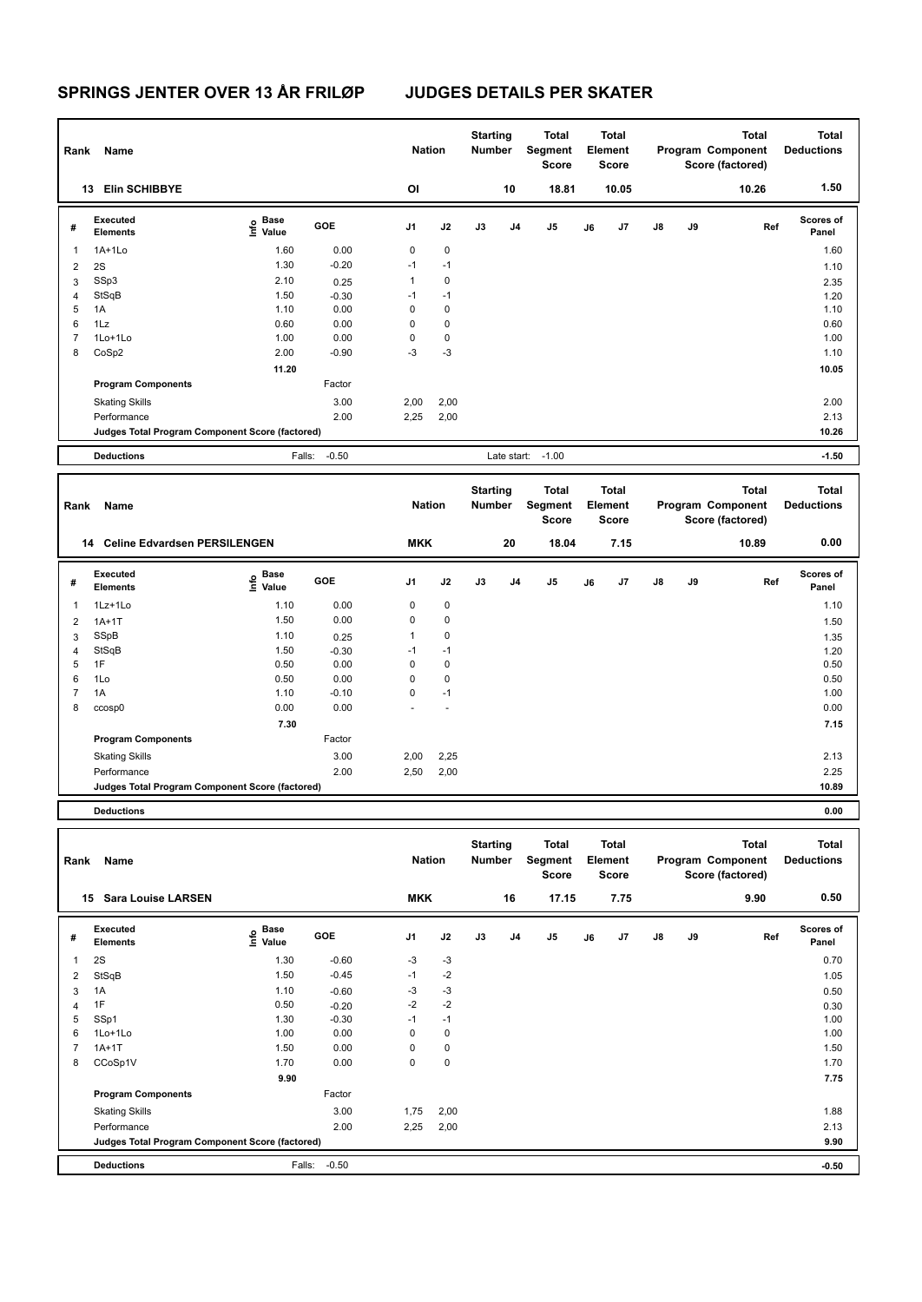| Rank                | Name                                                                 |                                      |                 | <b>Nation</b>              |           | <b>Starting</b><br>Number | <b>Total</b><br>Segment<br>Score |    | <b>Total</b><br>Element<br><b>Score</b> |    |    | <b>Total</b><br>Program Component<br>Score (factored) | <b>Total</b><br><b>Deductions</b> |
|---------------------|----------------------------------------------------------------------|--------------------------------------|-----------------|----------------------------|-----------|---------------------------|----------------------------------|----|-----------------------------------------|----|----|-------------------------------------------------------|-----------------------------------|
|                     | 13 Elin SCHIBBYE                                                     |                                      |                 | OI                         |           | 10                        | 18.81                            |    | 10.05                                   |    |    | 10.26                                                 | 1.50                              |
| #                   | Executed<br><b>Elements</b>                                          | Base<br>e <sup>Base</sup><br>⊆ Value | GOE             | J <sub>1</sub>             | J2        | J3                        | J5<br>J4                         | J6 | J <sub>7</sub>                          | J8 | J9 | Ref                                                   | <b>Scores of</b><br>Panel         |
| $\mathbf{1}$        | $1A+1Lo$                                                             | 1.60                                 | 0.00            | $\mathbf 0$                | $\pmb{0}$ |                           |                                  |    |                                         |    |    |                                                       | 1.60                              |
| $\overline{2}$      | 2S                                                                   | 1.30                                 | $-0.20$         | $-1$                       | $-1$      |                           |                                  |    |                                         |    |    |                                                       | 1.10                              |
| 3                   | SSp3                                                                 | 2.10                                 | 0.25            | $\mathbf{1}$               | 0         |                           |                                  |    |                                         |    |    |                                                       | 2.35                              |
| $\overline{4}$      | StSqB                                                                | 1.50                                 | $-0.30$         | $-1$                       | $-1$      |                           |                                  |    |                                         |    |    |                                                       | 1.20                              |
| 5                   | 1A                                                                   | 1.10                                 | 0.00            | 0                          | 0         |                           |                                  |    |                                         |    |    |                                                       | 1.10                              |
| 6                   | 1Lz                                                                  | 0.60                                 | 0.00            | $\mathbf 0$                | 0         |                           |                                  |    |                                         |    |    |                                                       | 0.60                              |
| $\overline{7}$      | 1Lo+1Lo                                                              | 1.00                                 | 0.00            | $\mathbf 0$                | 0         |                           |                                  |    |                                         |    |    |                                                       | 1.00                              |
| 8                   | CoSp2                                                                | 2.00                                 | $-0.90$         | $-3$                       | $-3$      |                           |                                  |    |                                         |    |    |                                                       | 1.10                              |
|                     |                                                                      | 11.20                                |                 |                            |           |                           |                                  |    |                                         |    |    |                                                       | 10.05                             |
|                     | <b>Program Components</b>                                            |                                      | Factor          |                            |           |                           |                                  |    |                                         |    |    |                                                       |                                   |
|                     | <b>Skating Skills</b>                                                |                                      | 3.00            | 2,00                       | 2,00      |                           |                                  |    |                                         |    |    |                                                       | 2.00                              |
|                     | Performance                                                          |                                      | 2.00            | 2,25                       | 2,00      |                           |                                  |    |                                         |    |    |                                                       | 2.13                              |
|                     | Judges Total Program Component Score (factored)                      |                                      |                 |                            |           |                           |                                  |    |                                         |    |    |                                                       | 10.26                             |
|                     | <b>Deductions</b>                                                    | Falls:                               | $-0.50$         |                            |           | Late start:               | $-1.00$                          |    |                                         |    |    |                                                       | $-1.50$                           |
|                     |                                                                      |                                      |                 |                            |           |                           |                                  |    |                                         |    |    |                                                       |                                   |
|                     |                                                                      |                                      |                 |                            |           |                           |                                  |    |                                         |    |    |                                                       |                                   |
| Rank                | Name                                                                 |                                      |                 | <b>Nation</b>              |           | <b>Starting</b><br>Number | <b>Total</b><br>Segment<br>Score |    | <b>Total</b><br>Element<br><b>Score</b> |    |    | <b>Total</b><br>Program Component<br>Score (factored) | <b>Total</b><br><b>Deductions</b> |
|                     | 14 Celine Edvardsen PERSILENGEN                                      |                                      |                 | <b>MKK</b>                 |           | 20                        | 18.04                            |    | 7.15                                    |    |    | 10.89                                                 | 0.00                              |
| #                   | Executed<br><b>Elements</b>                                          | Base<br>١nf٥<br>Value                | GOE             | J1                         | J2        | J3                        | J5<br>J4                         | J6 | J7                                      | J8 | J9 | Ref                                                   | <b>Scores of</b><br>Panel         |
|                     |                                                                      |                                      |                 |                            |           |                           |                                  |    |                                         |    |    |                                                       |                                   |
| $\mathbf{1}$        | 1Lz+1Lo                                                              | 1.10                                 | 0.00            | 0                          | 0         |                           |                                  |    |                                         |    |    |                                                       | 1.10                              |
| $\overline{2}$      | $1A+1T$                                                              | 1.50                                 | 0.00            | $\mathbf 0$                | 0         |                           |                                  |    |                                         |    |    |                                                       | 1.50                              |
| 3                   | SSpB                                                                 | 1.10                                 | 0.25            | $\mathbf{1}$               | 0         |                           |                                  |    |                                         |    |    |                                                       | 1.35                              |
| 4                   | StSqB                                                                | 1.50                                 | $-0.30$         | $-1$                       | $-1$      |                           |                                  |    |                                         |    |    |                                                       | 1.20                              |
| 5                   | 1F                                                                   | 0.50                                 | 0.00            | $\mathbf 0$<br>$\mathbf 0$ | 0<br>0    |                           |                                  |    |                                         |    |    |                                                       | 0.50                              |
| 6<br>$\overline{7}$ | 1Lo<br>1A                                                            | 0.50<br>1.10                         | 0.00<br>$-0.10$ | $\mathbf 0$                | $-1$      |                           |                                  |    |                                         |    |    |                                                       | 0.50<br>1.00                      |
| 8                   | ccosp0                                                               | 0.00                                 | 0.00            |                            |           |                           |                                  |    |                                         |    |    |                                                       | 0.00                              |
|                     |                                                                      | 7.30                                 |                 |                            |           |                           |                                  |    |                                         |    |    |                                                       | 7.15                              |
|                     | <b>Program Components</b>                                            |                                      | Factor          |                            |           |                           |                                  |    |                                         |    |    |                                                       |                                   |
|                     |                                                                      |                                      |                 |                            |           |                           |                                  |    |                                         |    |    |                                                       |                                   |
|                     | <b>Skating Skills</b>                                                |                                      | 3.00            | 2,00                       | 2,25      |                           |                                  |    |                                         |    |    |                                                       | 2.13                              |
|                     | Performance                                                          |                                      | 2.00            | 2,50                       | 2,00      |                           |                                  |    |                                         |    |    |                                                       | 2.25                              |
|                     | Judges Total Program Component Score (factored)<br><b>Deductions</b> |                                      |                 |                            |           |                           |                                  |    |                                         |    |    |                                                       | 10.89<br>0.00                     |

| Rank | Name                                            |                       |         | <b>Nation</b>  |             | <b>Starting</b><br><b>Number</b> |    | Total<br>Segment<br>Score |    | <b>Total</b><br>Element<br><b>Score</b> |               |    | <b>Total</b><br>Program Component<br>Score (factored) | <b>Total</b><br><b>Deductions</b> |
|------|-------------------------------------------------|-----------------------|---------|----------------|-------------|----------------------------------|----|---------------------------|----|-----------------------------------------|---------------|----|-------------------------------------------------------|-----------------------------------|
|      | <b>Sara Louise LARSEN</b><br>15                 |                       |         | <b>MKK</b>     |             |                                  | 16 | 17.15                     |    | 7.75                                    |               |    | 9.90                                                  | 0.50                              |
| #    | Executed<br><b>Elements</b>                     | $\sum_{i=1}^{n}$ Pase | GOE     | J <sub>1</sub> | J2          | J3                               | J4 | J5                        | J6 | J7                                      | $\mathsf{J}8$ | J9 | Ref                                                   | <b>Scores of</b><br>Panel         |
| 1    | 2S                                              | 1.30                  | $-0.60$ | $-3$           | $-3$        |                                  |    |                           |    |                                         |               |    |                                                       | 0.70                              |
| 2    | StSqB                                           | 1.50                  | $-0.45$ | $-1$           | $-2$        |                                  |    |                           |    |                                         |               |    |                                                       | 1.05                              |
| 3    | 1A                                              | 1.10                  | $-0.60$ | -3             | $-3$        |                                  |    |                           |    |                                         |               |    |                                                       | 0.50                              |
| 4    | 1F                                              | 0.50                  | $-0.20$ | $-2$           | $-2$        |                                  |    |                           |    |                                         |               |    |                                                       | 0.30                              |
| 5    | SSp1                                            | 1.30                  | $-0.30$ | $-1$           | $-1$        |                                  |    |                           |    |                                         |               |    |                                                       | 1.00                              |
| 6    | 1Lo+1Lo                                         | 1.00                  | 0.00    | 0              | 0           |                                  |    |                           |    |                                         |               |    |                                                       | 1.00                              |
|      | $1A+1T$                                         | 1.50                  | 0.00    | 0              | 0           |                                  |    |                           |    |                                         |               |    |                                                       | 1.50                              |
| 8    | CCoSp1V                                         | 1.70                  | 0.00    | $\mathbf 0$    | $\mathbf 0$ |                                  |    |                           |    |                                         |               |    |                                                       | 1.70                              |
|      |                                                 | 9.90                  |         |                |             |                                  |    |                           |    |                                         |               |    |                                                       | 7.75                              |
|      | <b>Program Components</b>                       |                       | Factor  |                |             |                                  |    |                           |    |                                         |               |    |                                                       |                                   |
|      | <b>Skating Skills</b>                           |                       | 3.00    | 1,75           | 2,00        |                                  |    |                           |    |                                         |               |    |                                                       | 1.88                              |
|      | Performance                                     |                       | 2.00    | 2,25           | 2,00        |                                  |    |                           |    |                                         |               |    |                                                       | 2.13                              |
|      | Judges Total Program Component Score (factored) |                       |         |                |             |                                  |    |                           |    |                                         |               |    |                                                       | 9.90                              |
|      | <b>Deductions</b>                               | Falls:                | $-0.50$ |                |             |                                  |    |                           |    |                                         |               |    |                                                       | $-0.50$                           |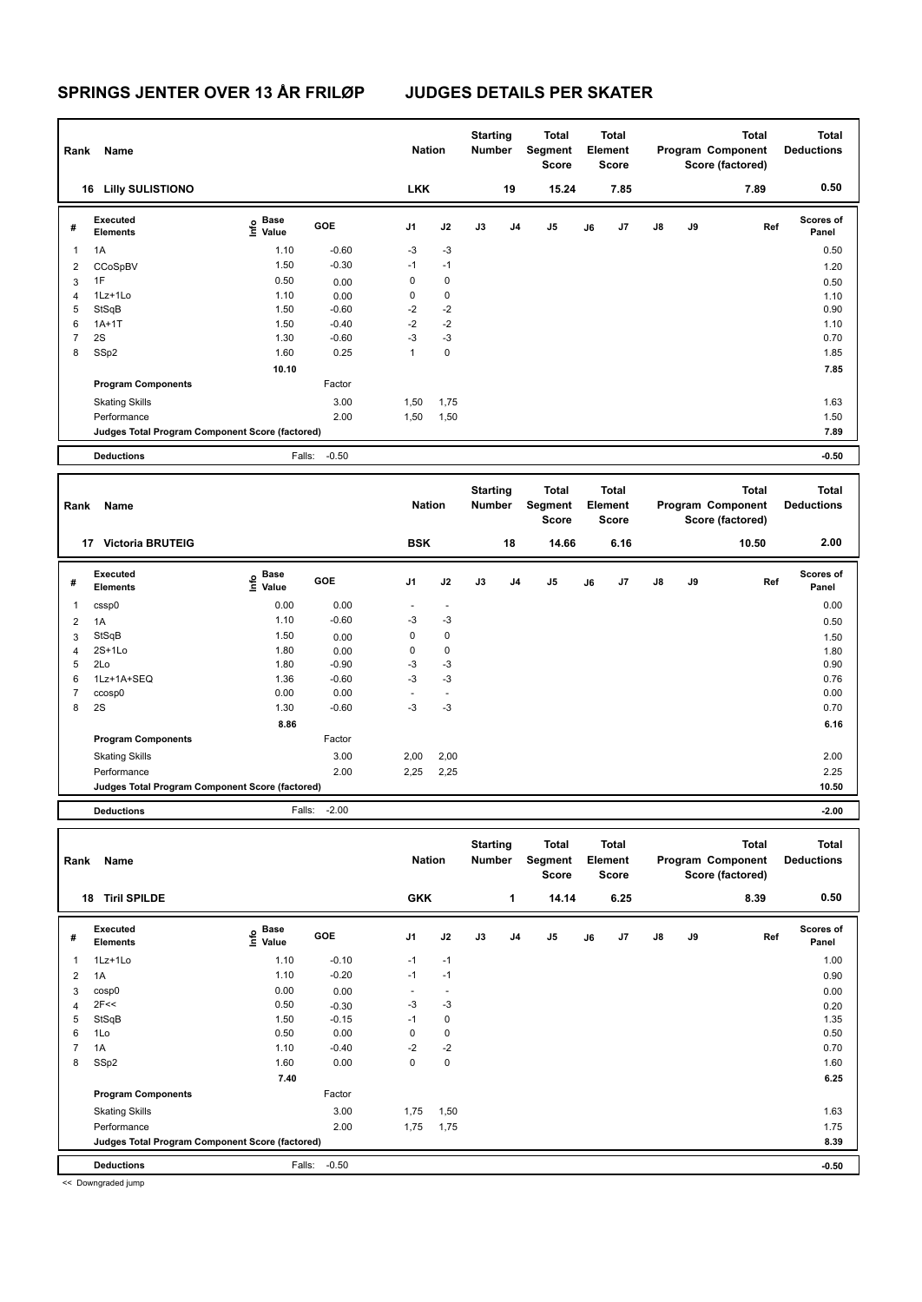| Rank                    | Name                                            |                           |         | <b>Nation</b>          |                          | <b>Starting</b><br>Number |    | <b>Total</b><br>Segment<br>Score |    | Total<br>Element<br>Score        |    |    | <b>Total</b><br>Program Component<br>Score (factored) | <b>Total</b><br><b>Deductions</b> |
|-------------------------|-------------------------------------------------|---------------------------|---------|------------------------|--------------------------|---------------------------|----|----------------------------------|----|----------------------------------|----|----|-------------------------------------------------------|-----------------------------------|
|                         | <b>16 Lilly SULISTIONO</b>                      |                           |         | <b>LKK</b>             |                          |                           | 19 | 15.24                            |    | 7.85                             |    |    | 7.89                                                  | 0.50                              |
| #                       | Executed<br><b>Elements</b>                     | Base<br>e Base<br>⊆ Value | GOE     | J1                     | J2                       | J3                        | J4 | J5                               | J6 | J7                               | J8 | J9 | Ref                                                   | <b>Scores of</b><br>Panel         |
| $\mathbf{1}$            | 1A                                              | 1.10                      | $-0.60$ | -3                     | $-3$                     |                           |    |                                  |    |                                  |    |    |                                                       | 0.50                              |
| $\overline{\mathbf{c}}$ | CCoSpBV                                         | 1.50                      | $-0.30$ | $-1$                   | $-1$                     |                           |    |                                  |    |                                  |    |    |                                                       | 1.20                              |
| 3                       | 1F                                              | 0.50                      | 0.00    | 0                      | 0                        |                           |    |                                  |    |                                  |    |    |                                                       | 0.50                              |
| 4                       | 1Lz+1Lo                                         | 1.10                      | 0.00    | 0                      | 0                        |                           |    |                                  |    |                                  |    |    |                                                       | 1.10                              |
| 5                       | StSqB                                           | 1.50                      | $-0.60$ | $-2$                   | $-2$                     |                           |    |                                  |    |                                  |    |    |                                                       | 0.90                              |
| 6                       | $1A+1T$                                         | 1.50                      | $-0.40$ | $-2$                   | $-2$                     |                           |    |                                  |    |                                  |    |    |                                                       | 1.10                              |
| $\overline{7}$          | 2S                                              | 1.30                      | $-0.60$ | -3                     | $-3$                     |                           |    |                                  |    |                                  |    |    |                                                       | 0.70                              |
| 8                       | SSp2                                            | 1.60                      | 0.25    | $\mathbf{1}$           | 0                        |                           |    |                                  |    |                                  |    |    |                                                       | 1.85                              |
|                         |                                                 | 10.10                     |         |                        |                          |                           |    |                                  |    |                                  |    |    |                                                       | 7.85                              |
|                         | <b>Program Components</b>                       |                           | Factor  |                        |                          |                           |    |                                  |    |                                  |    |    |                                                       |                                   |
|                         | <b>Skating Skills</b>                           |                           | 3.00    | 1,50                   | 1,75                     |                           |    |                                  |    |                                  |    |    |                                                       | 1.63                              |
|                         | Performance                                     |                           | 2.00    | 1,50                   | 1,50                     |                           |    |                                  |    |                                  |    |    |                                                       | 1.50                              |
|                         | Judges Total Program Component Score (factored) |                           |         |                        |                          |                           |    |                                  |    |                                  |    |    |                                                       | 7.89                              |
|                         |                                                 |                           |         |                        |                          |                           |    |                                  |    |                                  |    |    |                                                       |                                   |
|                         | <b>Deductions</b>                               | Falls:                    | $-0.50$ |                        |                          |                           |    |                                  |    |                                  |    |    |                                                       | $-0.50$                           |
|                         |                                                 |                           |         |                        |                          |                           |    |                                  |    |                                  |    |    |                                                       |                                   |
| Rank                    | <b>Name</b>                                     |                           |         | <b>Nation</b>          |                          | <b>Starting</b><br>Number |    | <b>Total</b><br>Segment<br>Score |    | <b>Total</b><br>Element<br>Score |    |    | <b>Total</b><br>Program Component<br>Score (factored) | Total<br><b>Deductions</b>        |
|                         | 17 Victoria BRUTEIG                             |                           |         | <b>BSK</b>             |                          |                           | 18 | 14.66                            |    | 6.16                             |    |    | 10.50                                                 | 2.00                              |
| #                       | Executed<br><b>Elements</b>                     | Base                      | GOE     | J1                     | J2                       | J3                        | J4 | J5                               | J6 | J7                               | J8 | J9 | Ref                                                   | <b>Scores of</b><br>Panel         |
|                         |                                                 | e Base<br>⊆ Value         |         |                        |                          |                           |    |                                  |    |                                  |    |    |                                                       |                                   |
| $\mathbf{1}$            | cssp0                                           | 0.00                      | 0.00    | $\sim$                 | $\sim$                   |                           |    |                                  |    |                                  |    |    |                                                       | 0.00                              |
| $\overline{2}$          | 1A                                              | 1.10                      | $-0.60$ | $-3$                   | $-3$                     |                           |    |                                  |    |                                  |    |    |                                                       | 0.50                              |
| 3                       | StSqB                                           | 1.50                      | 0.00    | 0                      | 0                        |                           |    |                                  |    |                                  |    |    |                                                       | 1.50                              |
| 4                       | 2S+1Lo                                          | 1.80                      | 0.00    | 0                      | 0                        |                           |    |                                  |    |                                  |    |    |                                                       | 1.80                              |
| 5                       | 2Lo                                             | 1.80                      | $-0.90$ | -3                     | $-3$                     |                           |    |                                  |    |                                  |    |    |                                                       | 0.90                              |
| 6                       | 1Lz+1A+SEQ                                      | 1.36                      | $-0.60$ | $-3$<br>$\blacksquare$ | $-3$                     |                           |    |                                  |    |                                  |    |    |                                                       | 0.76                              |
| $\overline{7}$          | ccosp0                                          | 0.00                      | 0.00    |                        | $\overline{\phantom{a}}$ |                           |    |                                  |    |                                  |    |    |                                                       | 0.00                              |
| 8                       | 2S                                              | 1.30                      | $-0.60$ | -3                     | $-3$                     |                           |    |                                  |    |                                  |    |    |                                                       | 0.70                              |
|                         |                                                 | 8.86                      |         |                        |                          |                           |    |                                  |    |                                  |    |    |                                                       | 6.16                              |
|                         | <b>Program Components</b>                       |                           | Factor  |                        |                          |                           |    |                                  |    |                                  |    |    |                                                       |                                   |
|                         | <b>Skating Skills</b>                           |                           | 3.00    | 2,00                   | 2,00                     |                           |    |                                  |    |                                  |    |    |                                                       | 2.00                              |
|                         | Performance                                     |                           | 2.00    | 2,25                   | 2,25                     |                           |    |                                  |    |                                  |    |    |                                                       | 2.25                              |
|                         | Judges Total Program Component Score (factored) |                           |         |                        |                          |                           |    |                                  |    |                                  |    |    |                                                       | 10.50                             |

| Rank | Name                                            |                           |            | <b>Nation</b>            |                          | <b>Starting</b><br><b>Number</b> |                | <b>Total</b><br>Segment<br>Score |    | <b>Total</b><br>Element<br>Score |               |    | <b>Total</b><br>Program Component<br>Score (factored) | <b>Total</b><br><b>Deductions</b> |
|------|-------------------------------------------------|---------------------------|------------|--------------------------|--------------------------|----------------------------------|----------------|----------------------------------|----|----------------------------------|---------------|----|-------------------------------------------------------|-----------------------------------|
|      | <b>Tiril SPILDE</b><br>18                       |                           |            | <b>GKK</b>               |                          |                                  | 1              | 14.14                            |    | 6.25                             |               |    | 8.39                                                  | 0.50                              |
| #    | Executed<br><b>Elements</b>                     | Base<br>e Base<br>E Value | <b>GOE</b> | J <sub>1</sub>           | J2                       | J3                               | J <sub>4</sub> | $\mathsf{J}5$                    | J6 | J7                               | $\mathsf{J}8$ | J9 | Ref                                                   | <b>Scores of</b><br>Panel         |
| 1    | 1Lz+1Lo                                         | 1.10                      | $-0.10$    | $-1$                     | $-1$                     |                                  |                |                                  |    |                                  |               |    |                                                       | 1.00                              |
| 2    | 1A                                              | 1.10                      | $-0.20$    | $-1$                     | $-1$                     |                                  |                |                                  |    |                                  |               |    |                                                       | 0.90                              |
| 3    | cosp0                                           | 0.00                      | 0.00       | $\overline{\phantom{a}}$ | $\overline{\phantom{a}}$ |                                  |                |                                  |    |                                  |               |    |                                                       | 0.00                              |
| 4    | 2F<<                                            | 0.50                      | $-0.30$    | $-3$                     | $-3$                     |                                  |                |                                  |    |                                  |               |    |                                                       | 0.20                              |
| 5    | StSqB                                           | 1.50                      | $-0.15$    | $-1$                     | 0                        |                                  |                |                                  |    |                                  |               |    |                                                       | 1.35                              |
| 6    | 1Lo                                             | 0.50                      | 0.00       | 0                        | $\mathbf 0$              |                                  |                |                                  |    |                                  |               |    |                                                       | 0.50                              |
|      | 1A                                              | 1.10                      | $-0.40$    | $-2$                     | $-2$                     |                                  |                |                                  |    |                                  |               |    |                                                       | 0.70                              |
| 8    | SSp2                                            | 1.60                      | 0.00       | 0                        | $\mathbf 0$              |                                  |                |                                  |    |                                  |               |    |                                                       | 1.60                              |
|      |                                                 | 7.40                      |            |                          |                          |                                  |                |                                  |    |                                  |               |    |                                                       | 6.25                              |
|      | <b>Program Components</b>                       |                           | Factor     |                          |                          |                                  |                |                                  |    |                                  |               |    |                                                       |                                   |
|      | <b>Skating Skills</b>                           |                           | 3.00       | 1,75                     | 1,50                     |                                  |                |                                  |    |                                  |               |    |                                                       | 1.63                              |
|      | Performance                                     |                           | 2.00       | 1,75                     | 1,75                     |                                  |                |                                  |    |                                  |               |    |                                                       | 1.75                              |
|      | Judges Total Program Component Score (factored) |                           |            |                          |                          |                                  |                |                                  |    |                                  |               |    |                                                       | 8.39                              |
|      | <b>Deductions</b>                               | Falls:                    | $-0.50$    |                          |                          |                                  |                |                                  |    |                                  |               |    |                                                       | $-0.50$                           |
|      | << Downgraded jump                              |                           |            |                          |                          |                                  |                |                                  |    |                                  |               |    |                                                       |                                   |

<< Downgraded jump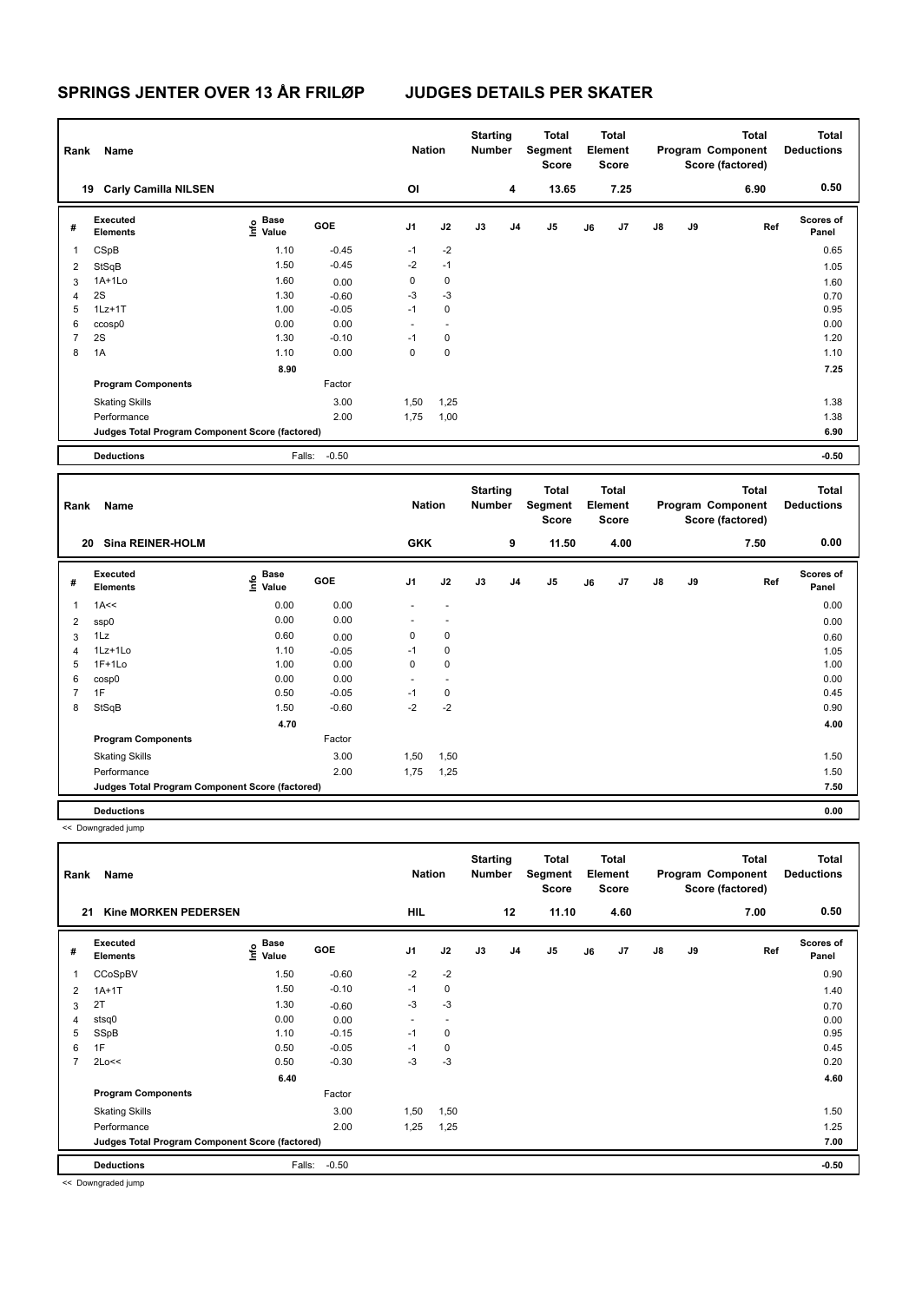| Rank           | Name                                            |                                             |         | <b>Nation</b> |                | <b>Starting</b><br><b>Number</b> |                | <b>Total</b><br>Segment<br><b>Score</b> |    | <b>Total</b><br>Element<br><b>Score</b> |               |    | <b>Total</b><br>Program Component<br>Score (factored) | <b>Total</b><br><b>Deductions</b> |
|----------------|-------------------------------------------------|---------------------------------------------|---------|---------------|----------------|----------------------------------|----------------|-----------------------------------------|----|-----------------------------------------|---------------|----|-------------------------------------------------------|-----------------------------------|
| 19             | <b>Carly Camilla NILSEN</b>                     |                                             |         | OI            |                |                                  | 4              | 13.65                                   |    | 7.25                                    |               |    | 6.90                                                  | 0.50                              |
| #              | <b>Executed</b><br><b>Elements</b>              | <b>Base</b><br>e <sup>Base</sup><br>⊆ Value | GOE     | J1            | J2             | J3                               | J <sub>4</sub> | J <sub>5</sub>                          | J6 | J <sub>7</sub>                          | $\mathsf{J}8$ | J9 | Ref                                                   | <b>Scores of</b><br>Panel         |
| 1              | CSpB                                            | 1.10                                        | $-0.45$ | $-1$          | $-2$           |                                  |                |                                         |    |                                         |               |    |                                                       | 0.65                              |
| 2              | StSqB                                           | 1.50                                        | $-0.45$ | $-2$          | $-1$           |                                  |                |                                         |    |                                         |               |    |                                                       | 1.05                              |
| 3              | $1A+1Lo$                                        | 1.60                                        | 0.00    | 0             | 0              |                                  |                |                                         |    |                                         |               |    |                                                       | 1.60                              |
| 4              | 2S                                              | 1.30                                        | $-0.60$ | $-3$          | $-3$           |                                  |                |                                         |    |                                         |               |    |                                                       | 0.70                              |
| 5              | $1Lz+1T$                                        | 1.00                                        | $-0.05$ | $-1$          | 0              |                                  |                |                                         |    |                                         |               |    |                                                       | 0.95                              |
| 6              | ccosp0                                          | 0.00                                        | 0.00    | ٠             | $\overline{a}$ |                                  |                |                                         |    |                                         |               |    |                                                       | 0.00                              |
| $\overline{7}$ | 2S                                              | 1.30                                        | $-0.10$ | $-1$          | 0              |                                  |                |                                         |    |                                         |               |    |                                                       | 1.20                              |
| 8              | 1A                                              | 1.10                                        | 0.00    | 0             | 0              |                                  |                |                                         |    |                                         |               |    |                                                       | 1.10                              |
|                |                                                 | 8.90                                        |         |               |                |                                  |                |                                         |    |                                         |               |    |                                                       | 7.25                              |
|                | <b>Program Components</b>                       |                                             | Factor  |               |                |                                  |                |                                         |    |                                         |               |    |                                                       |                                   |
|                | <b>Skating Skills</b>                           |                                             | 3.00    | 1,50          | 1,25           |                                  |                |                                         |    |                                         |               |    |                                                       | 1.38                              |
|                | Performance                                     |                                             | 2.00    | 1,75          | 1,00           |                                  |                |                                         |    |                                         |               |    |                                                       | 1.38                              |
|                | Judges Total Program Component Score (factored) |                                             |         |               |                |                                  |                |                                         |    |                                         |               |    |                                                       | 6.90                              |
|                | <b>Deductions</b>                               | Falls:                                      | $-0.50$ |               |                |                                  |                |                                         |    |                                         |               |    |                                                       | $-0.50$                           |
| Rank           | Name                                            |                                             |         | <b>Nation</b> |                | <b>Starting</b><br><b>Number</b> |                | <b>Total</b><br>Segment<br><b>Score</b> |    | <b>Total</b><br>Element<br><b>Score</b> |               |    | Total<br>Program Component<br>Score (factored)        | <b>Total</b><br><b>Deductions</b> |

|                | <b>Sina REINER-HOLM</b><br>20                   |                                         |         | <b>GKK</b>     |                          |    | 9              | 11.50 |    | 4.00 |               |    | 7.50 | 0.00               |
|----------------|-------------------------------------------------|-----------------------------------------|---------|----------------|--------------------------|----|----------------|-------|----|------|---------------|----|------|--------------------|
| #              | Executed<br>Elements                            | $\mathsf{E}$ Base<br>$\mathsf{E}$ Value | GOE     | J <sub>1</sub> | J2                       | J3 | J <sub>4</sub> | J5    | J6 | J7   | $\mathsf{J}8$ | J9 | Ref  | Scores of<br>Panel |
| $\mathbf{1}$   | 1A<<                                            | 0.00                                    | 0.00    |                |                          |    |                |       |    |      |               |    |      | 0.00               |
| $\overline{2}$ | ssp0                                            | 0.00                                    | 0.00    |                | ٠                        |    |                |       |    |      |               |    |      | 0.00               |
| 3              | 1Lz                                             | 0.60                                    | 0.00    | 0              | 0                        |    |                |       |    |      |               |    |      | 0.60               |
| 4              | $1Lz+1Lo$                                       | 1.10                                    | $-0.05$ | $-1$           | 0                        |    |                |       |    |      |               |    |      | 1.05               |
| 5              | $1F+1Lo$                                        | 1.00                                    | 0.00    | 0              | $\mathbf 0$              |    |                |       |    |      |               |    |      | 1.00               |
| 6              | cosp0                                           | 0.00                                    | 0.00    | ٠              | $\overline{\phantom{a}}$ |    |                |       |    |      |               |    |      | 0.00               |
| $\overline{7}$ | 1F                                              | 0.50                                    | $-0.05$ | $-1$           | $\mathbf 0$              |    |                |       |    |      |               |    |      | 0.45               |
| 8              | StSqB                                           | 1.50                                    | $-0.60$ | $-2$           | $-2$                     |    |                |       |    |      |               |    |      | 0.90               |
|                |                                                 | 4.70                                    |         |                |                          |    |                |       |    |      |               |    |      | 4.00               |
|                | <b>Program Components</b>                       |                                         | Factor  |                |                          |    |                |       |    |      |               |    |      |                    |
|                | <b>Skating Skills</b>                           |                                         | 3.00    | 1,50           | 1,50                     |    |                |       |    |      |               |    |      | 1.50               |
|                | Performance                                     |                                         | 2.00    | 1,75           | 1,25                     |    |                |       |    |      |               |    |      | 1.50               |
|                | Judges Total Program Component Score (factored) |                                         |         |                |                          |    |                |       |    |      |               |    |      | 7.50               |
|                | <b>Deductions</b>                               |                                         |         |                |                          |    |                |       |    |      |               |    |      | 0.00               |

<< Downgraded jump

| Rank           | Name                                            |                           |         | <b>Nation</b>  |                          | <b>Starting</b><br><b>Number</b> |                | Total<br>Segment<br><b>Score</b> |    | <b>Total</b><br>Element<br><b>Score</b> |               |    | <b>Total</b><br>Program Component<br>Score (factored) | Total<br><b>Deductions</b> |
|----------------|-------------------------------------------------|---------------------------|---------|----------------|--------------------------|----------------------------------|----------------|----------------------------------|----|-----------------------------------------|---------------|----|-------------------------------------------------------|----------------------------|
| 21             | <b>Kine MORKEN PEDERSEN</b>                     |                           |         | <b>HIL</b>     |                          |                                  | 12             | 11.10                            |    | 4.60                                    |               |    | 7.00                                                  | 0.50                       |
| #              | Executed<br><b>Elements</b>                     | Base<br>e Base<br>⊆ Value | GOE     | J <sub>1</sub> | J2                       | J3                               | J <sub>4</sub> | J <sub>5</sub>                   | J6 | J7                                      | $\mathsf{J}8$ | J9 | Ref                                                   | Scores of<br>Panel         |
| 1              | CCoSpBV                                         | 1.50                      | $-0.60$ | $-2$           | $-2$                     |                                  |                |                                  |    |                                         |               |    |                                                       | 0.90                       |
| 2              | $1A+1T$                                         | 1.50                      | $-0.10$ | $-1$           | $\mathbf 0$              |                                  |                |                                  |    |                                         |               |    |                                                       | 1.40                       |
| 3              | 2T                                              | 1.30                      | $-0.60$ | $-3$           | $-3$                     |                                  |                |                                  |    |                                         |               |    |                                                       | 0.70                       |
| 4              | stsq0                                           | 0.00                      | 0.00    | ٠              | $\overline{\phantom{a}}$ |                                  |                |                                  |    |                                         |               |    |                                                       | 0.00                       |
| 5              | SSpB                                            | 1.10                      | $-0.15$ | $-1$           | $\mathbf 0$              |                                  |                |                                  |    |                                         |               |    |                                                       | 0.95                       |
| 6              | 1F                                              | 0.50                      | $-0.05$ | $-1$           | $\mathbf 0$              |                                  |                |                                  |    |                                         |               |    |                                                       | 0.45                       |
| $\overline{7}$ | 2Lo<<                                           | 0.50                      | $-0.30$ | $-3$           | $-3$                     |                                  |                |                                  |    |                                         |               |    |                                                       | 0.20                       |
|                |                                                 | 6.40                      |         |                |                          |                                  |                |                                  |    |                                         |               |    |                                                       | 4.60                       |
|                | <b>Program Components</b>                       |                           | Factor  |                |                          |                                  |                |                                  |    |                                         |               |    |                                                       |                            |
|                | <b>Skating Skills</b>                           |                           | 3.00    | 1,50           | 1,50                     |                                  |                |                                  |    |                                         |               |    |                                                       | 1.50                       |
|                | Performance                                     |                           | 2.00    | 1,25           | 1,25                     |                                  |                |                                  |    |                                         |               |    |                                                       | 1.25                       |
|                | Judges Total Program Component Score (factored) |                           |         |                |                          |                                  |                |                                  |    |                                         |               |    |                                                       | 7.00                       |
|                | <b>Deductions</b>                               | Falls:                    | $-0.50$ |                |                          |                                  |                |                                  |    |                                         |               |    |                                                       | $-0.50$                    |

<< Downgraded jump